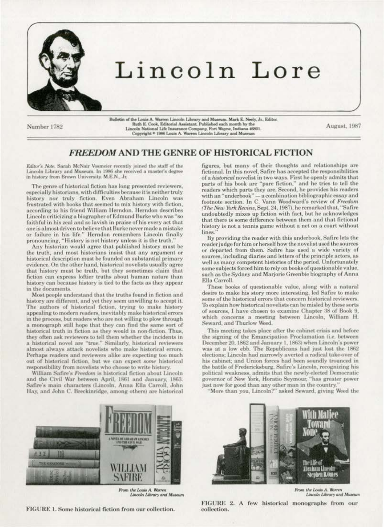

## Lincoln Lore

Number 1782

Bulletin of the Louis A. Warren Lincoln Library and Museum. Mark E. Neely, Jr., Editor. Ruth E. Cook, Editorial Assistant. Published each month by the Lincoln National Life Insurance Company, Fort Wayne, Indiana 46801. Copyright \* 1986 Louis A. Warren Lincoln Library and Museum

August, 1987

## **FREEDOM AND THE GENRE OF HISTORICAL FICTION**

Editor's Note. Sarah McNair Vosmeier recently joined the staff of the Lincoln Library and Museum. In 1986 she received a master's degree in history from Brown University. M.E.N., Jr.

The genre of historical fiction has long presented reviewers, especially historians, with difficulties because it is neither truly history nor truly fiction. Even Abraham Lincoln was frustrated with books that seemed to mix history with fiction. according to his friend William Herndon. Herndon describes Lincoln criticizing a biographer of Edmund Burke who was "so faithful in his zeal and so lavish in praise of his every act that one is almost driven to believe that Burke never made a mistake or failure in his life." Herndon remembers Lincoln finally pronouncing, "History is not history unless it is the truth."

Any historian would agree that published history must be the truth, and most historians insist that any argument or historical description must be founded on substantial primary evidence. On the other hand, historical novelists usually agree that history must be truth, but they sometimes claim that fiction can express loftier truths about human nature than history can because history is tied to the facts as they appear in the documents.

Most people understand that the truths found in fiction and history are different, and yet they seem unwilling to accept it. The authors of historical fiction, trying to make history appealing to modern readers, inevitably make historical errors in the process, but readers who are not willing to plow through a monograph still hope that they can find the same sort of historical truth in fiction as they would in non-fiction. Thus, they often ask reviewers to tell them whether the incidents in a historical novel are "true." Similarly, historical reviewers almost always attack novelists who make historical errors. Perhaps readers and reviewers alike are expecting too much out of historical fiction, but we can expect some historical responsibility from novelists who choose to write history.

William Safire's Freedom is historical fiction about Lincoln and the Civil War between April, 1861 and January, 1863. Safire's main characters (Lincoln, Anna Ella Carroll, John Hay, and John C. Breckinridge, among others) are historical



From the Louis A. Warren Lincoln Library and Museum

FIGURE 1. Some historical fiction from our collection.

figures, but many of their thoughts and relationships are fictional. In this novel, Safire has accepted the responsibilities of a historical novelist in two ways. First he openly admits that parts of his book are "pure fiction," and he tries to tell the readers which parts they are. Second, he provides his readers with an "underbook" - a combination bibliographic essay and footnote section. In C. Vann Woodward's review of Freedom (The New York Review, Sept. 24, 1987), he remarked that, "Safire undoubtedly mixes up fiction with fact, but he acknowledges that there is some difference between them and that fictional history is not a tennis game without a net on a court without lines.

By providing the reader with this underbook, Safire lets the reader judge for him or herself how the novelist used the sources or departed from them. Safire has used a wide variety of sources, including diaries and letters of the principle actors, as well as many competent histories of the period. Unfortunately some subjects forced him to rely on books of questionable value, such as the Sydney and Marjorie Greenbie biography of Anna Ella Carroll.

These books of questionable value, along with a natural desire to make his story more interesting, led Safire to make some of the historical errors that concern historical reviewers. To explain how historical novelists can be misled by these sorts of sources, I have chosen to examine Chapter 38 of Book 9. which concerns a meeting between Lincoln, William H. Seward, and Thurlow Weed.

This meeting takes place after the cabinet crisis and before the signing of the Emancipation Proclamation (i.e. between December 20, 1862 and January 1, 1863) when Lincoln's power was at a low ebb. The Republicans had just lost the 1862 elections; Lincoln had narrowly averted a radical take-over of his cabinet; and Union forces had been soundly trounced in the battle of Fredericksburg. Safire's Lincoln, recognizing his political weakness, admits that the newly-elected Democratic governor of New York, Horatio Seymour, "has greater power just now for good than any other man in the country.

"More than you, Lincoln?" asked Seward, giving Weed the



From the Louis A. Warren Lincoln Library and Museum

FIGURE 2. A few historical monographs from our collection.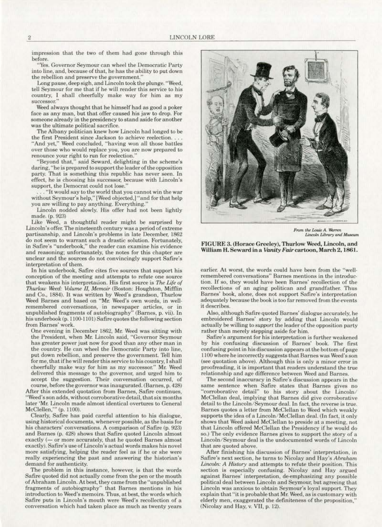impression that the two of them had gone through this before.

"Yes. Governor Seymour can wheel the Democratic Party into line, and, because of that, he has the ability to put down the rebellion and preserve the government.'

Long pause, deep sigh. and Lincoln took the plunge. "Weed. tell Seymour for me that if he will render this service to his country. I shall cheerfully make way for him as my successor.''

Weed always thought that he himself had as good a poker face as any man, but that offer caused his jaw to drop. For someone already in the presidency to stand aside for another was the ultimate political sacrifice.

The Albany politician knew how Lincoln had longed to be the first President since Jackson to achieve reelection.... "And yet," Weed concluded, "having won all those battles over those who would replace you, you are now prepared to renounce your right to run for reelection.'

"Beyond that," said Seward. delighting in the scheme's daring, "he is prepared to support the leader of the opposition party. That is something this republic has never seen. In effect. he is choosing his successor, because with Lincoln's

"It would say to the world that you cannot win the war without Seymour's help," [Weed objected,] "and for that help you are willing to pay anything. Everything.'

Lincoln nodded slowly. His offer had not been lightly made. (p. 923)

Like Weed, a thoughtful reader might be surprised by Lincoln's offer. The nineteenth century was a period of extreme partisanship, and Lincoln's problems in late December. 1862 do not seem to warrant such a drastic solution. Fortunately, in Safire's "underbook," the reader can examine his evidence and reasoning; unfortunately, the notes for this chapter are unclear and the sources do not convincingly support Safire's interpretation of them.

In his underbook. Safire cites five sources that support his conception of the meeting and attempts to refute one source that weakens his interpretation. His first source is The Life of *Thurlow Weed: Volume II, Memoir (Boston: Houghton, Mifflin* and Co., 1884). It was written by Weed's grandson, Thurlow Weed Barnes and based on "Mr. Weed's own words, in well· remembered conversations, in newspaper articles, or in unpublished fragments of autobiography" (Barnes, p. vii). In his underbook (p. 1100-1101) Safire quotes the following section from Barnes' work.

One evening in December 1862, Mr. Weed was sitting with the President, when Mr. Lincoln said, "Governor Seymour<br>has greater power just now for good than any other man in the country. He can wheel the Democratic Party into line, put down rebellion. and preserve the government. Tell him for me, that if he will render this service to his country, I shall cheerfully make way for him as my successor." Mr. Weed delivered this message to the governor, and urged him to accept the suggestion. Their conversation occurred. or course, before the governor was inaugurated. (Barnes, p. 428)

After this extended quotation from Barnes, Safire continues, "Weed's son adds, without corroborative detail, that six months later 'Mr. Lincoln made almost identical overtures to General McClellen,"" (p. 1100).

Clearly, Safirc has paid careful attention to his dialogue, using historical documents, whenever possible, as the basis for his characters' conversations. A comparison of Safire (p. 923) and Barnes (p. 428) shows that Safire quoted Lincoln almost exactly (- or more accurately, that he quoted Barnes almost exactly). Sa fire's use of Lincoln's actual words makes his novel more satisfying, helping the reader feel as if he or she were really experiencing the past and answering the historian's demand for authenticity.

The problem in this instance, however, is that the words Safire quoted did not actually come from the pen or the mouth of Abraham Lincoln. At best, they came from the "unpublished fragments of autobiography" that Barnes mentions in his introduction to Weed's memoirs. Thus, at best, the words which Safire puts in Lincoln's mouth were Weed's recollection of a conversation which had taken place as much as twenty years



From the Louis A. Warren Lincoln Library and Museum

FIGURE 3. (Horace Greeley), Thurlow Weed, Lincoln, and William H. Seward in <sup>a</sup>*VanityFair cartoon,March2. 186I.* 

earlier. At worst, the words could have been from the "wellremembered conversations" Barnes mentions in the introduction. If so, they would have been Barnes' recollection of the recollections of an aging politican and grandfather. Thus Barnes' book, alone, does not support Safire's interpretation adequately because the book is too far removed from the events it describes.

Also, although Safire quoted Barnes' dialogue accurately, he embroidered Barnes' story by adding that Lincoln would actually be willing to *support* the leader of the opposition party rather than merely stepping aside for him.

Safire's argument for his interpretation is further weakened by his confusing discussion of Barnes' book. The first confusing point in his discussion appears at the bottom of page 1100 where he incorrectly suggests that Barnes was Weed's son (see quotation above). Although this is only a minor error in proofreading, it is important that readers understand the true relationship and age difference between Weed and Barnes.<br>The second inaccuracy in Safire's discussion appears in the

The second inaccuracy in \$afire's discussion appears in the same sentence when Safire states that Barnes gives no "corroborative detail" to his story about the Lincoln/ McClellan deal, implying that Barnes did give corroborative detail to the Lincoln/Seymour deal. In fact, the reverse is true. Barnes quotes a letter from McClellan to Weed which weakly supports the idea of a Lincoln/McClellan deal. (In fact, it only shows that Weed asked McClellan to preside at a meeting, not that Uncoln offered McClellan the Presidency if he would do so.) The only evidence Barnes gives to support the story of a Lincoln/ Seymour deal is the undocumented words of Lincoln that are quoted above.

After finishing his discussion of Barnes' interpretation, in Safirc's next. section, he turns to Nicolay and Hay's *Abraham Lincoln:* A History and attempts to refute their position. This section is especially confusing. Nicolay and Hay argued against Barnes' interpretation, de-emphasizing any possible political deal between Lincoln and Seymour. but agreeing that Lincoln was anxious to obtain Seymour's loyal support. They explain that "it is probable that Mr. Weed, as is customary with elderly men, exaggerated the definiteness of the proposition," (Nicolay and Hay, v. VII, p. 12).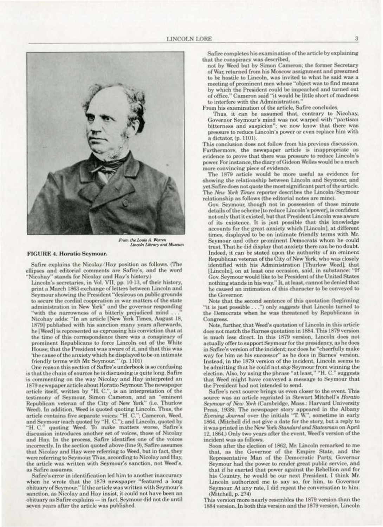

**From the Louis A. Warren**<br>Lincoln Library and Museum

## **FIGURE 4. Horatio Seymour.**

Safire explains the Nicolay/Hay position as follows. (The ellipses and editorial comments are Safire's, and the word 'Nicohay" stands for Nicolay and Hay's history.)

Lincoln's secretaries, in Vol. VII, pp. 10-13, of their history, print a March 1863 exchange of letters between Lincoln and Seymour showing the President "desirous on public grounds to secure the cordial cooperation in war matters of the state administration in New York" and the governor responding "with the narrowness of a bitterly prejudiced mind ..."<br>Nicohay adds: "In an article [New York Times, August 18, 1879] published with his sanction many years afterwards, he [Weed] is represented as expressing his conviction that at the time of this correspondence there was a conspiracy of prominent Republicans to force Lincoln out of the White House; that the President was aware of it, and that this was 'the cause of the anxiety which he displayed to be on intimate friendly terms with Mr. Seymour."" (p. 1101)

One reason this section of Safire's underbook is so confusing is that the chain of sources he is discussing is quite long. Safire is commenting on the way Nicolay and Hay interpreted an 1879 newspaper article about Horatio Seymour. The newspaper article itself, written by "H. C.", is an interpretation of the testimony of Seymour, Simon Cameron, and an "eminent Republican veteran of the City of New York" (i.e. Thurlow Weed). In addition, Weed is quoted quoting Lincoln. Thus, the article contains five separate voices: "H. C."; Cameron, Weed, and Seymour (each quoted by "H. C."); and Lincoln, quoted by "H. C." quoting Weed. To make matters worse, Safire's discussion introduces another set of voices, those of Nicolay and Hay. In the process, Safire identifies one of the voices incorrectly. In the section quoted above (line 9), Safire assumes that Nicolay and Hay were referring to Weed, but in fact, they were referring to Seymour. Thus, according to Nicolay and Hay, the article was written with Seymour's sanction, not Weed's, as Safire assumes.

Safire's error in identification led him to another inaccuracy when he wrote that the 1879 newspaper "featured a long obituary of Seymour." If the article was written with Seymour's sanction, as Nicolay and Hay insist, it could not have been an obituary as Safire explains - in fact, Seymour did not die until seven years after the article was published.

Safire completes his examination of the article by explaining that the conspiracy was described,

not by Weed but by Simon Cameron; the former Secretary of War, returned from his Moscow assignment and presumed to be hostile to Lincoln, was invited to what he said was a meeting of prominent men whose "object was to find means by which the President could be impeached and turned out of office." Cameron said "it would be little short of madness to interfere with the Administration."

From his examination of the article, Safire concludes,

Thus, it can be assumed that, contrary to Nicohay, Governor Seymour's mind was not warped with "partisan bitterness and suspicion": we now know that there was pressure to reduce Lincoln's power or even replace him with a dictator, (p. 1101).

This conclusion does not follow from his previous discussion. Furthermore, the newspaper article is inappropriate as evidence to prove that there was pressure to reduce Lincoln's power. For instance, the diary of Gideon Welles would be a much more convincing piece of evidence.

The 1879 article would be more useful as evidence for showing the relationship between Lincoln and Seymour, and yet Safire does not quote the most significant part of the article. The New York Times reporter describes the Lincoln/Seymour relationship as follows (the editorial notes are mine).

Gov. Seymour, though not in possession of those minute details of the scheme [to reduce Lincoln's power], is confident not only that it existed, but that President Lincoln was aware of its existence. It is just possible that this knowledge accounts for the great anxiety which [Lincoln], at different times, displayed to be on intimate friendly terms with Mr. Seymour and other prominent Democrats whom he could trust. That he did display that anxiety there can be no doubt. Indeed, it can be stated upon the authority of an eminent Republican veteran of the City of New York, who was closely identified with his Administration [Thurlow Weed], that [Lincoln], on at least one occasion, said, in substance: "If Gov. Seymour would like to be President of the United States nothing stands in his way." It, at least, cannot be denied that he caused an intimation of this character to be conveyed to the Governor.

Note that the second sentence of this quotation (beginning "it is just possible . . .") only suggests that Lincoln turned to the Democrats when he was threatened by Republicans in Congress.

Note, further, that Weed's quotation of Lincoln in this article does not match the Barnes quotation in 1884. This 1879 version is much less direct. In this 1879 version, Lincoln does not actually offer to support Seymour for the presidency, as he does in Safire's version of the incident; nor does he "cheerfully make way for him as his successor" as he does in Barnes' version.<br>Instead, in the 1879 version of the incident, Lincoln seems to be admitting that he could not stop Seymour from winning the election. Also, by using the phrase "at least," "H. C." suggests that Weed might have conveyed a message to Seymour that the President had not intended to send.

Safire's next source brings us even closer to the event. This source was an article reprinted in Stewart Mitchell's Horatio Seymour of New York (Cambridge, Mass.: Harvard University Press, 1938). The newspaper story appeared in the Albany Evening Journal over the initials "T. W.", sometime in early 1864. (Mitchell did not give a date for the story, but a reply to it was printed in the New York Standard and Statesman on April 12, 1864.) Only two years after the event, Weed's version of the incident was as follows.

Soon after the election of 1862, Mr. Lincoln remarked to me that, as the Governor of the Empire State, and the Representative Man of the Democratic Party, Governor Seymour had the power to render great public service, and that if he exerted that power against the Rebellion and for his Country, he would be our next President, I think Mr. Lincoln authorized me to say so, for him, to Governor Seymour. At any rate, I did repeat the conversation to him. (Mitchell, p. 274)

This version more nearly resembles the 1879 version than the 1884 version. In both this version and the 1879 version, Lincoln